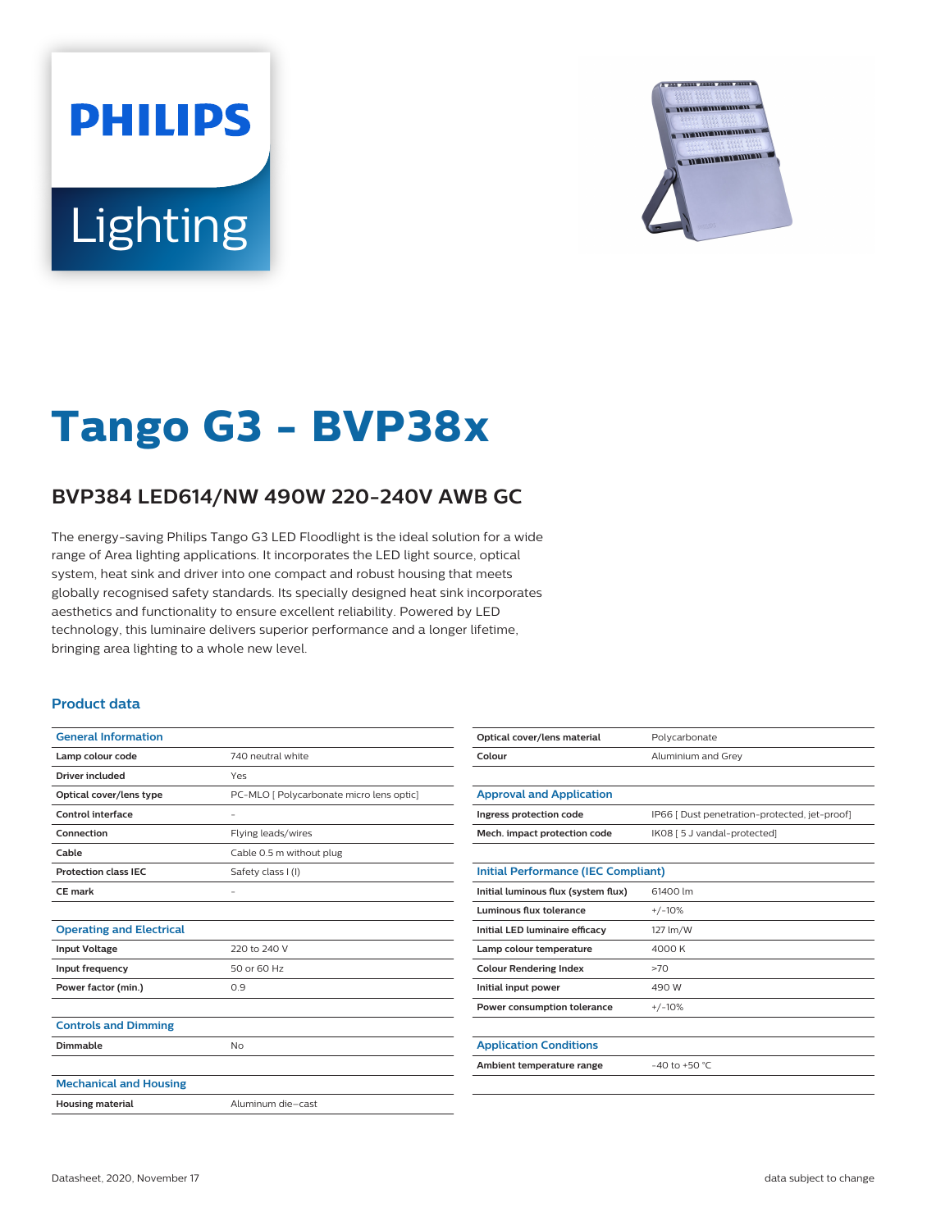# **PHILIPS** Lighting



# **Tango G3 - BVP38x**

## **BVP384 LED614/NW 490W 220-240V AWB GC**

The energy-saving Philips Tango G3 LED Floodlight is the ideal solution for a wide range of Area lighting applications. It incorporates the LED light source, optical system, heat sink and driver into one compact and robust housing that meets globally recognised safety standards. Its specially designed heat sink incorporates aesthetics and functionality to ensure excellent reliability. Powered by LED technology, this luminaire delivers superior performance and a longer lifetime, bringing area lighting to a whole new level.

#### **Product data**

| <b>General Information</b>      |                                          |
|---------------------------------|------------------------------------------|
| Lamp colour code                | 740 neutral white                        |
| Driver included                 | Yes                                      |
| Optical cover/lens type         | PC-MLO [ Polycarbonate micro lens optic] |
| Control interface               | ٠                                        |
| Connection                      | Flying leads/wires                       |
| Cable                           | Cable 0.5 m without plug                 |
| <b>Protection class IEC</b>     | Safety class I (I)                       |
| CE mark                         | $\qquad \qquad -$                        |
|                                 |                                          |
| <b>Operating and Electrical</b> |                                          |
| <b>Input Voltage</b>            | 220 to 240 V                             |
| Input frequency                 | 50 or 60 Hz                              |
| Power factor (min.)             | 0.9                                      |
|                                 |                                          |
| <b>Controls and Dimming</b>     |                                          |
| Dimmable                        | <b>No</b>                                |
|                                 |                                          |
| <b>Mechanical and Housing</b>   |                                          |
| <b>Housing material</b>         | Aluminum die-cast                        |

| Optical cover/lens material                | Polycarbonate                                 |
|--------------------------------------------|-----------------------------------------------|
| Colour                                     | Aluminium and Grey                            |
|                                            |                                               |
| <b>Approval and Application</b>            |                                               |
| Ingress protection code                    | IP66 [ Dust penetration-protected, jet-proof] |
| Mech. impact protection code               | IK08 [ 5 J vandal-protected]                  |
|                                            |                                               |
| <b>Initial Performance (IEC Compliant)</b> |                                               |
| Initial luminous flux (system flux)        | 61400 lm                                      |
| Luminous flux tolerance                    | $+/-10%$                                      |
| Initial LED luminaire efficacy             | 127 lm/W                                      |
| Lamp colour temperature                    | 4000 K                                        |
| <b>Colour Rendering Index</b>              | >70                                           |
| Initial input power                        | 490 W                                         |
| Power consumption tolerance                | $+/-10%$                                      |
|                                            |                                               |
| <b>Application Conditions</b>              |                                               |
| Ambient temperature range                  | $-40$ to $+50$ °C.                            |
|                                            |                                               |
|                                            |                                               |